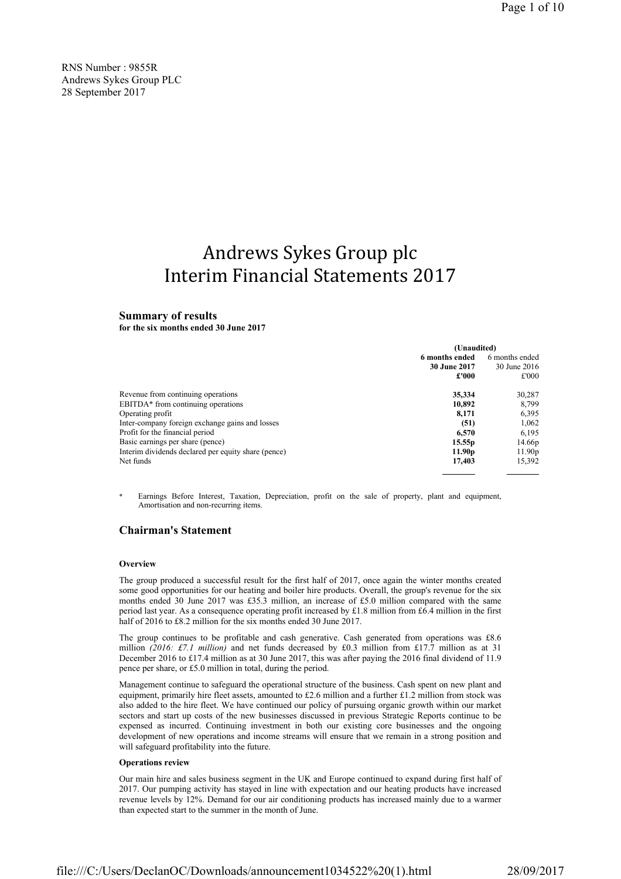RNS Number : 9855R Andrews Sykes Group PLC 28 September 2017

# Andrews Sykes Group plc Interim Financial Statements 2017

# Summary of results

for the six months ended 30 June 2017

|                                                     | (Unaudited)                      |                    |
|-----------------------------------------------------|----------------------------------|--------------------|
|                                                     | 6 months ended<br>6 months ended |                    |
|                                                     | 30 June 2017                     | 30 June 2016       |
|                                                     | £'000                            | £'000              |
| Revenue from continuing operations                  | 35,334                           | 30,287             |
| EBITDA <sup>*</sup> from continuing operations      | 10.892                           | 8.799              |
| Operating profit                                    | 8,171                            | 6,395              |
| Inter-company foreign exchange gains and losses     | (51)                             | 1,062              |
| Profit for the financial period                     | 6,570                            | 6.195              |
| Basic earnings per share (pence)                    | 15.55 <sub>p</sub>               | 14.66p             |
| Interim dividends declared per equity share (pence) | 11.90 <sub>p</sub>               | 11.90 <sub>p</sub> |
| Net funds                                           | 17,403                           | 15,392             |

Earnings Before Interest, Taxation, Depreciation, profit on the sale of property, plant and equipment, Amortisation and non-recurring items.

# Chairman's Statement

#### **Overview**

The group produced a successful result for the first half of 2017, once again the winter months created some good opportunities for our heating and boiler hire products. Overall, the group's revenue for the six months ended 30 June 2017 was £35.3 million, an increase of £5.0 million compared with the same period last year. As a consequence operating profit increased by £1.8 million from £6.4 million in the first half of 2016 to £8.2 million for the six months ended 30 June 2017.

The group continues to be profitable and cash generative. Cash generated from operations was £8.6 million (2016: £7.1 million) and net funds decreased by £0.3 million from £17.7 million as at 31 December 2016 to £17.4 million as at 30 June 2017, this was after paying the 2016 final dividend of 11.9 pence per share, or £5.0 million in total, during the period.

Management continue to safeguard the operational structure of the business. Cash spent on new plant and equipment, primarily hire fleet assets, amounted to £2.6 million and a further £1.2 million from stock was also added to the hire fleet. We have continued our policy of pursuing organic growth within our market sectors and start up costs of the new businesses discussed in previous Strategic Reports continue to be expensed as incurred. Continuing investment in both our existing core businesses and the ongoing development of new operations and income streams will ensure that we remain in a strong position and will safeguard profitability into the future.

#### Operations review

Our main hire and sales business segment in the UK and Europe continued to expand during first half of 2017. Our pumping activity has stayed in line with expectation and our heating products have increased revenue levels by 12%. Demand for our air conditioning products has increased mainly due to a warmer than expected start to the summer in the month of June.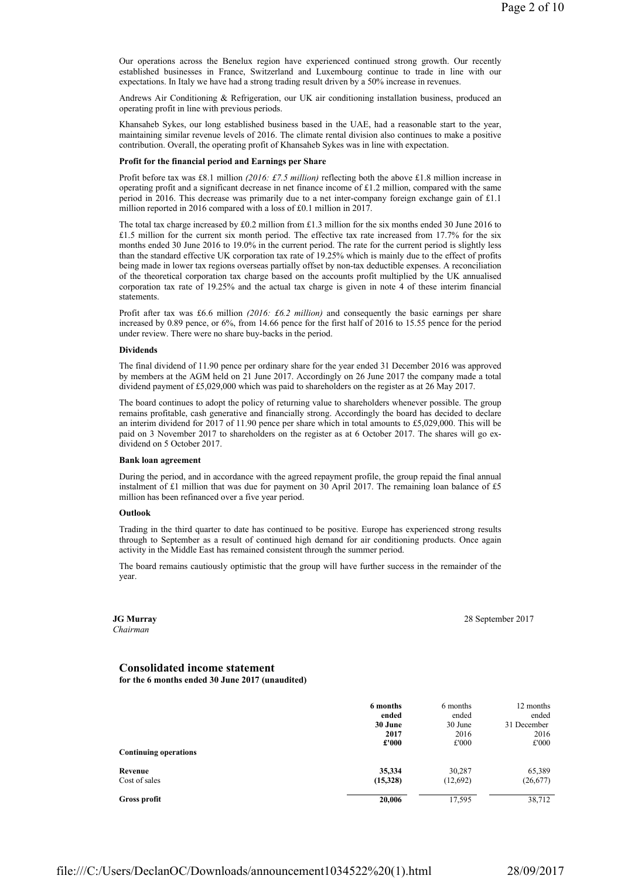Our operations across the Benelux region have experienced continued strong growth. Our recently established businesses in France, Switzerland and Luxembourg continue to trade in line with our expectations. In Italy we have had a strong trading result driven by a 50% increase in revenues.

Andrews Air Conditioning & Refrigeration, our UK air conditioning installation business, produced an operating profit in line with previous periods.

Khansaheb Sykes, our long established business based in the UAE, had a reasonable start to the year, maintaining similar revenue levels of 2016. The climate rental division also continues to make a positive contribution. Overall, the operating profit of Khansaheb Sykes was in line with expectation.

#### Profit for the financial period and Earnings per Share

Profit before tax was £8.1 million (2016: £7.5 million) reflecting both the above £1.8 million increase in operating profit and a significant decrease in net finance income of £1.2 million, compared with the same period in 2016. This decrease was primarily due to a net inter-company foreign exchange gain of £1.1 million reported in 2016 compared with a loss of £0.1 million in 2017.

The total tax charge increased by £0.2 million from £1.3 million for the six months ended 30 June 2016 to £1.5 million for the current six month period. The effective tax rate increased from 17.7% for the six months ended 30 June 2016 to 19.0% in the current period. The rate for the current period is slightly less than the standard effective UK corporation tax rate of 19.25% which is mainly due to the effect of profits being made in lower tax regions overseas partially offset by non-tax deductible expenses. A reconciliation of the theoretical corporation tax charge based on the accounts profit multiplied by the UK annualised corporation tax rate of 19.25% and the actual tax charge is given in note 4 of these interim financial statements.

Profit after tax was £6.6 million (2016: £6.2 million) and consequently the basic earnings per share increased by 0.89 pence, or 6%, from 14.66 pence for the first half of 2016 to 15.55 pence for the period under review. There were no share buy-backs in the period.

#### Dividends

The final dividend of 11.90 pence per ordinary share for the year ended 31 December 2016 was approved by members at the AGM held on 21 June 2017. Accordingly on 26 June 2017 the company made a total dividend payment of £5,029,000 which was paid to shareholders on the register as at 26 May 2017.

The board continues to adopt the policy of returning value to shareholders whenever possible. The group remains profitable, cash generative and financially strong. Accordingly the board has decided to declare an interim dividend for 2017 of 11.90 pence per share which in total amounts to £5,029,000. This will be paid on 3 November 2017 to shareholders on the register as at 6 October 2017. The shares will go exdividend on 5 October 2017.

#### Bank loan agreement

During the period, and in accordance with the agreed repayment profile, the group repaid the final annual instalment of £1 million that was due for payment on 30 April 2017. The remaining loan balance of £5 million has been refinanced over a five year period.

#### **Outlook**

Trading in the third quarter to date has continued to be positive. Europe has experienced strong results through to September as a result of continued high demand for air conditioning products. Once again activity in the Middle East has remained consistent through the summer period.

The board remains cautiously optimistic that the group will have further success in the remainder of the year.

# JG Murray

Chairman

28 September 2017

# Consolidated income statement

for the 6 months ended 30 June 2017 (unaudited)

|                              | 6 months<br>ended | 6 months<br>ended | 12 months<br>ended |
|------------------------------|-------------------|-------------------|--------------------|
|                              | 30 June           | 30 June           | 31 December        |
|                              | 2017              | 2016              | 2016               |
|                              | £'000             | £'000             | £'000              |
| <b>Continuing operations</b> |                   |                   |                    |
| Revenue                      | 35,334            | 30,287            | 65,389             |
| Cost of sales                | (15,328)          | (12,692)          | (26, 677)          |
| Gross profit                 | 20,006            | 17,595            | 38,712             |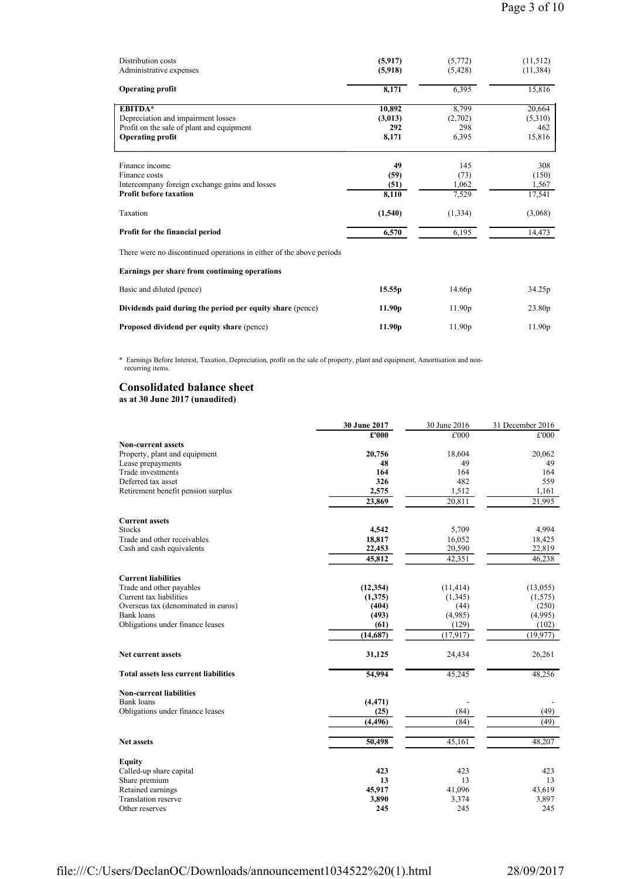| Distribution costs<br>Administrative expenses                                                                                | (5,917)<br>(5,918)                | (5,772)<br>(5, 428)              | (11, 512)<br>(11, 384)             |
|------------------------------------------------------------------------------------------------------------------------------|-----------------------------------|----------------------------------|------------------------------------|
| <b>Operating profit</b>                                                                                                      | 8,171                             | 6,395                            | 15,816                             |
| <b>EBITDA*</b><br>Depreciation and impairment losses<br>Profit on the sale of plant and equipment<br><b>Operating profit</b> | 10,892<br>(3,013)<br>292<br>8,171 | 8,799<br>(2,702)<br>298<br>6,395 | 20,664<br>(5,310)<br>462<br>15,816 |
| Finance income<br>Finance costs<br>Intercompany foreign exchange gains and losses<br><b>Profit before taxation</b>           | 49<br>(59)<br>(51)<br>8,110       | 145<br>(73)<br>1,062<br>7,529    | 308<br>(150)<br>1,567<br>17,541    |
| Taxation                                                                                                                     | (1,540)                           | (1, 334)                         | (3,068)                            |
| Profit for the financial period                                                                                              | 6,570                             | 6,195                            | 14,473                             |
| There were no discontinued operations in either of the above periods                                                         |                                   |                                  |                                    |
| Earnings per share from continuing operations                                                                                |                                   |                                  |                                    |
| Basic and diluted (pence)                                                                                                    | 15.55p                            | 14.66p                           | 34.25p                             |
| Dividends paid during the period per equity share (pence)                                                                    | 11.90 <sub>p</sub>                | 11.90 <sub>p</sub>               | 23.80p                             |
| Proposed dividend per equity share (pence)                                                                                   | 11.90 <sub>p</sub>                | 11.90 <sub>p</sub>               | 11.90 <sub>p</sub>                 |

\* Earnings Before Interest, Taxation, Depreciation, profit on the sale of property, plant and equipment, Amortisation and non recurring items.

# Consolidated balance sheet as at 30 June 2017 (unaudited)

|                                              | 30 June 2017 | 30 June 2016 | 31 December 2016 |
|----------------------------------------------|--------------|--------------|------------------|
|                                              | £'000        | £'000        | £'000            |
| <b>Non-current assets</b>                    |              |              |                  |
| Property, plant and equipment                | 20,756       | 18,604       | 20,062           |
| Lease prepayments                            | 48           | 49           | 49               |
| Trade investments                            | 164          | 164          | 164              |
| Deferred tax asset                           | 326          | 482          | 559              |
| Retirement benefit pension surplus           | 2,575        | 1,512        | 1,161            |
|                                              | 23,869       | 20,811       | 21,995           |
| <b>Current assets</b>                        |              |              |                  |
| <b>Stocks</b>                                | 4,542        | 5,709        | 4,994            |
| Trade and other receivables                  | 18,817       | 16,052       | 18,425           |
| Cash and cash equivalents                    | 22,453       | 20,590       | 22,819           |
|                                              | 45,812       | 42,351       | 46,238           |
|                                              |              |              |                  |
| <b>Current liabilities</b>                   |              |              |                  |
| Trade and other payables                     | (12, 354)    | (11, 414)    | (13,055)         |
| Current tax liabilities                      | (1,375)      | (1,345)      | (1, 575)         |
| Overseas tax (denominated in euros)          | (404)        | (44)         | (250)            |
| Bank loans                                   | (493)        | (4,985)      | (4,995)          |
| Obligations under finance leases             | (61)         | (129)        | (102)            |
|                                              | (14,687)     | (17, 917)    | (19, 977)        |
| <b>Net current assets</b>                    | 31,125       | 24,434       | 26,261           |
| <b>Total assets less current liabilities</b> | 54,994       | 45,245       | 48,256           |
| <b>Non-current liabilities</b>               |              |              |                  |
| <b>Bank</b> loans                            | (4, 471)     |              |                  |
| Obligations under finance leases             | (25)         | (84)         | (49)             |
|                                              | (4, 496)     | (84)         | (49)             |
|                                              |              |              |                  |
| <b>Net assets</b>                            | 50,498       | 45,161       | 48,207           |
| <b>Equity</b>                                |              |              |                  |
| Called-up share capital                      | 423          | 423          | 423              |
| Share premium                                | 13           | 13           | 13               |
| Retained earnings                            | 45,917       | 41,096       | 43,619           |
| Translation reserve                          | 3,890        | 3,374        | 3,897            |
| Other reserves                               | 245          | 245          | 245              |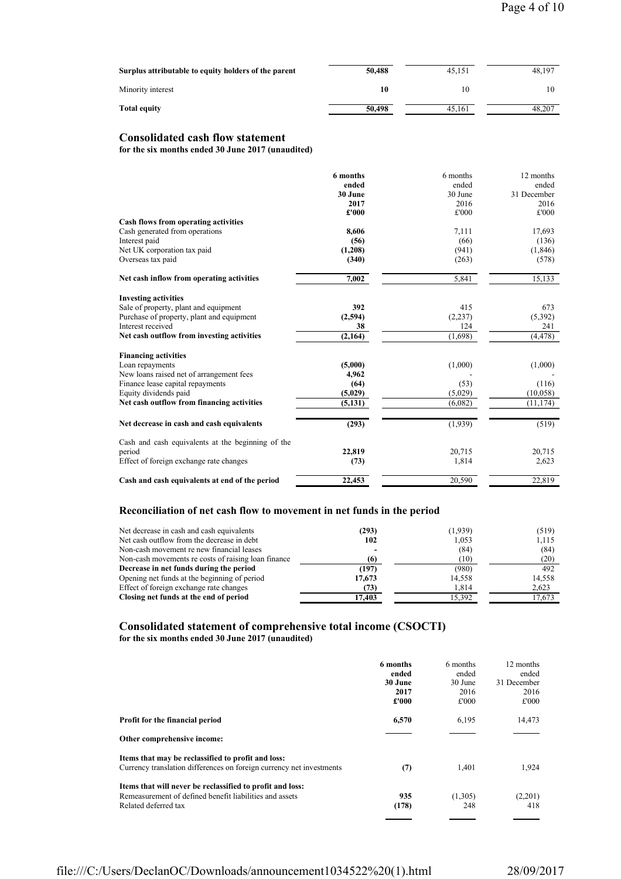| Surplus attributable to equity holders of the parent | 50,488 | 45.151 | 48,197 |
|------------------------------------------------------|--------|--------|--------|
| Minority interest                                    | 10     | 10     |        |
| <b>Total equity</b>                                  | 50,498 | 45.161 | 48.207 |

# Consolidated cash flow statement

for the six months ended 30 June 2017 (unaudited)

|                                                   | 6 months | 6 months | 12 months   |
|---------------------------------------------------|----------|----------|-------------|
|                                                   | ended    | ended    | ended       |
|                                                   | 30 June  | 30 June  | 31 December |
|                                                   | 2017     | 2016     | 2016        |
|                                                   | £'000    | £'000    | £'000       |
| Cash flows from operating activities              |          |          |             |
| Cash generated from operations                    | 8,606    | 7,111    | 17,693      |
| Interest paid                                     | (56)     | (66)     | (136)       |
| Net UK corporation tax paid                       | (1,208)  | (941)    | (1, 846)    |
| Overseas tax paid                                 | (340)    | (263)    | (578)       |
| Net cash inflow from operating activities         | 7,002    | 5,841    | 15,133      |
| <b>Investing activities</b>                       |          |          |             |
| Sale of property, plant and equipment             | 392      | 415      | 673         |
| Purchase of property, plant and equipment         | (2,594)  | (2,237)  | (5,392)     |
| Interest received                                 | 38       | 124      | 241         |
| Net cash outflow from investing activities        | (2,164)  | (1,698)  | (4, 478)    |
| <b>Financing activities</b>                       |          |          |             |
| Loan repayments                                   | (5,000)  | (1,000)  | (1,000)     |
| New loans raised net of arrangement fees          | 4,962    |          |             |
| Finance lease capital repayments                  | (64)     | (53)     | (116)       |
| Equity dividends paid                             | (5,029)  | (5,029)  | (10,058)    |
| Net cash outflow from financing activities        | (5, 131) | (6,082)  | (11, 174)   |
|                                                   |          |          |             |
| Net decrease in cash and cash equivalents         | (293)    | (1,939)  | (519)       |
| Cash and cash equivalents at the beginning of the |          |          |             |
| period                                            | 22,819   | 20,715   | 20,715      |
| Effect of foreign exchange rate changes           | (73)     | 1,814    | 2,623       |
| Cash and cash equivalents at end of the period    | 22,453   | 20,590   | 22,819      |

# Reconciliation of net cash flow to movement in net funds in the period

| (293)  | (1,939) | (519)  |
|--------|---------|--------|
| 102    | 1,053   | 1,115  |
|        | (84)    | (84)   |
| (6)    | (10)    | (20)   |
| (197)  | (980)   | 492    |
| 17,673 | 14,558  | 14,558 |
| (73)   | 1.814   | 2,623  |
| 17,403 | 15,392  | 17,673 |
|        |         |        |

# Consolidated statement of comprehensive total income (CSOCTI) for the six months ended 30 June 2017 (unaudited)

|                                                                      | 6 months<br>ended<br>30 June<br>2017<br>£'000 | 6 months<br>ended<br>30 June<br>2016<br>£'000 | 12 months<br>ended<br>31 December<br>2016<br>£'000 |
|----------------------------------------------------------------------|-----------------------------------------------|-----------------------------------------------|----------------------------------------------------|
| Profit for the financial period                                      | 6,570                                         | 6,195                                         | 14,473                                             |
| Other comprehensive income:                                          |                                               |                                               |                                                    |
| Items that may be reclassified to profit and loss:                   |                                               |                                               |                                                    |
| Currency translation differences on foreign currency net investments | (7)                                           | 1,401                                         | 1,924                                              |
| Items that will never be reclassified to profit and loss:            |                                               |                                               |                                                    |
| Remeasurement of defined benefit liabilities and assets              | 935                                           | (1,305)                                       | (2,201)                                            |
| Related deferred tax                                                 | (178)                                         | 248                                           | 418                                                |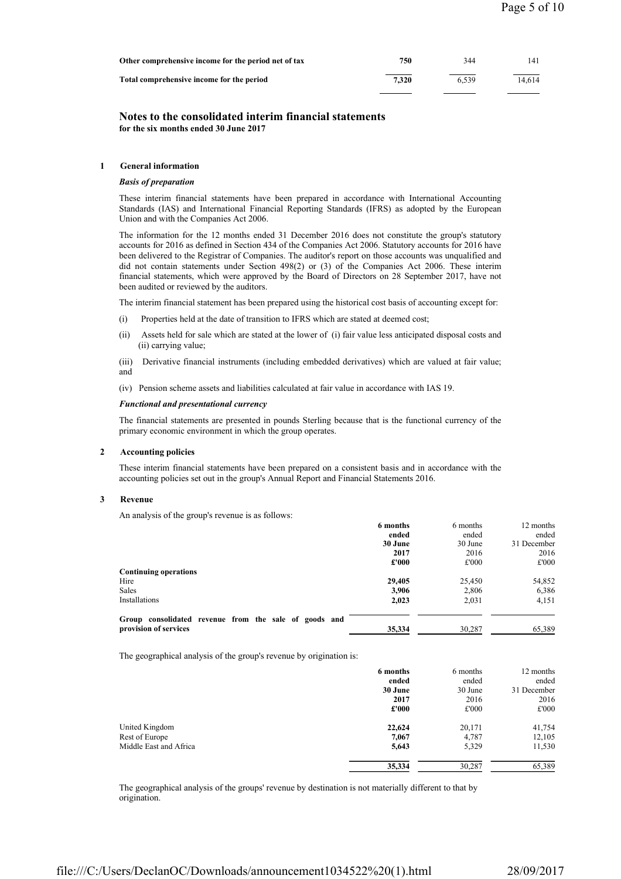| Other comprehensive income for the period net of tax | 750   | 344   | 141    |
|------------------------------------------------------|-------|-------|--------|
| Total comprehensive income for the period            | 7.320 | 6.539 | 14.614 |

# Notes to the consolidated interim financial statements for the six months ended 30 June 2017

## 1 General information

## Basis of preparation

These interim financial statements have been prepared in accordance with International Accounting Standards (IAS) and International Financial Reporting Standards (IFRS) as adopted by the European Union and with the Companies Act 2006.

The information for the 12 months ended 31 December 2016 does not constitute the group's statutory accounts for 2016 as defined in Section 434 of the Companies Act 2006. Statutory accounts for 2016 have been delivered to the Registrar of Companies. The auditor's report on those accounts was unqualified and did not contain statements under Section 498(2) or (3) of the Companies Act 2006. These interim financial statements, which were approved by the Board of Directors on 28 September 2017, have not been audited or reviewed by the auditors.

The interim financial statement has been prepared using the historical cost basis of accounting except for:

- (i) Properties held at the date of transition to IFRS which are stated at deemed cost;
- (ii) Assets held for sale which are stated at the lower of (i) fair value less anticipated disposal costs and (ii) carrying value;
- (iii) Derivative financial instruments (including embedded derivatives) which are valued at fair value; and
- (iv) Pension scheme assets and liabilities calculated at fair value in accordance with IAS 19.

# Functional and presentational currency

The financial statements are presented in pounds Sterling because that is the functional currency of the primary economic environment in which the group operates.

# 2 Accounting policies

These interim financial statements have been prepared on a consistent basis and in accordance with the accounting policies set out in the group's Annual Report and Financial Statements 2016.

## 3 Revenue

An analysis of the group's revenue is as follows:

|                                                       | 6 months | 6 months | 12 months   |
|-------------------------------------------------------|----------|----------|-------------|
|                                                       | ended    | ended    | ended       |
|                                                       | 30 June  | 30 June  | 31 December |
|                                                       | 2017     | 2016     | 2016        |
|                                                       | £'000    | £'000    | £'000       |
| <b>Continuing operations</b>                          |          |          |             |
| Hire                                                  | 29,405   | 25,450   | 54,852      |
| <b>Sales</b>                                          | 3.906    | 2,806    | 6,386       |
| Installations                                         | 2,023    | 2,031    | 4,151       |
| Group consolidated revenue from the sale of goods and |          |          |             |
| provision of services                                 | 35,334   | 30,287   | 65,389      |

The geographical analysis of the group's revenue by origination is:

|                        | 6 months | 6 months | 12 months   |
|------------------------|----------|----------|-------------|
|                        | ended    | ended    | ended       |
|                        | 30 June  | 30 June  | 31 December |
|                        | 2017     | 2016     | 2016        |
|                        | £'000    | £'000    | £'000       |
| United Kingdom         | 22,624   | 20,171   | 41,754      |
| Rest of Europe         | 7,067    | 4,787    | 12,105      |
| Middle East and Africa | 5,643    | 5,329    | 11,530      |
|                        | 35,334   | 30,287   | 65,389      |

The geographical analysis of the groups' revenue by destination is not materially different to that by origination.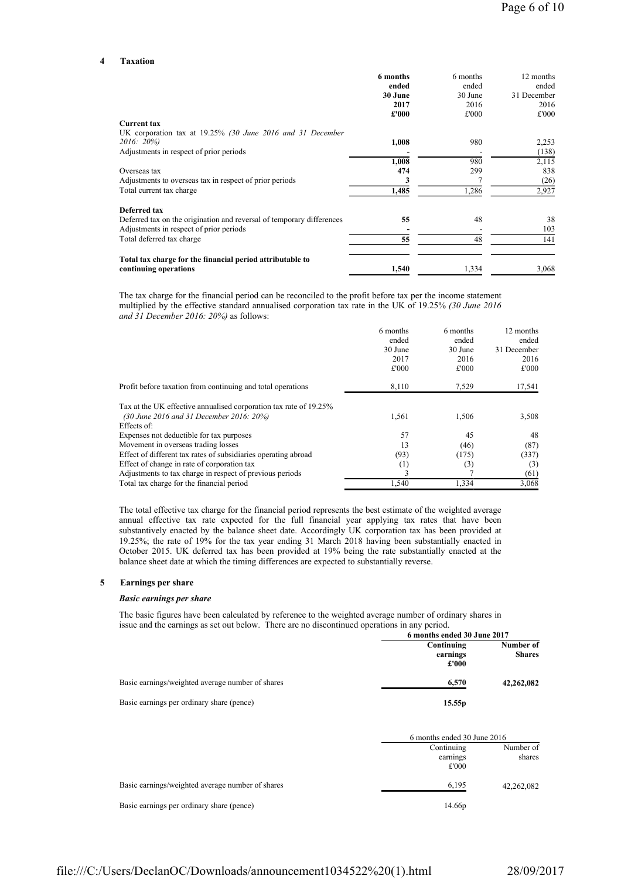#### 4 Taxation

|                                                                       | 6 months<br>ended | 6 months<br>ended | 12 months<br>ended |
|-----------------------------------------------------------------------|-------------------|-------------------|--------------------|
|                                                                       | 30 June           | 30 June           | 31 December        |
|                                                                       | 2017              | 2016              | 2016               |
|                                                                       | £'000             | £'000             | £'000              |
| <b>Current tax</b>                                                    |                   |                   |                    |
| UK corporation tax at 19.25% (30 June 2016 and 31 December            |                   |                   |                    |
| 2016: 20%)                                                            | 1,008             | 980               | 2,253              |
| Adjustments in respect of prior periods                               |                   |                   | (138)              |
|                                                                       | 1.008             | 980               | 2,115              |
| Overseas tax                                                          | 474               | 299               | 838                |
| Adjustments to overseas tax in respect of prior periods               | 3                 |                   | (26)               |
| Total current tax charge                                              | 1,485             | 1,286             | 2,927              |
| Deferred tax                                                          |                   |                   |                    |
| Deferred tax on the origination and reversal of temporary differences | 55                | 48                | 38                 |
| Adjustments in respect of prior periods                               |                   |                   | 103                |
| Total deferred tax charge                                             | 55                | 48                | 141                |
| Total tax charge for the financial period attributable to             |                   |                   |                    |
| continuing operations                                                 | 1,540             | 1,334             | 3,068              |

The tax charge for the financial period can be reconciled to the profit before tax per the income statement multiplied by the effective standard annualised corporation tax rate in the UK of 19.25% (30 June 2016 and 31 December 2016: 20%) as follows:

|                                                                   | 6 months | 6 months | 12 months   |
|-------------------------------------------------------------------|----------|----------|-------------|
|                                                                   | ended    | ended    | ended       |
|                                                                   | 30 June  | 30 June  | 31 December |
|                                                                   | 2017     | 2016     | 2016        |
|                                                                   | £'000    | £'000    | £'000       |
| Profit before taxation from continuing and total operations       | 8,110    | 7,529    | 17,541      |
| Tax at the UK effective annualised corporation tax rate of 19.25% |          |          |             |
| (30 June 2016 and 31 December 2016: 20%)                          | 1,561    | 1,506    | 3,508       |
| Effects of:                                                       |          |          |             |
| Expenses not deductible for tax purposes                          | 57       | 45       | 48          |
| Movement in overseas trading losses                               | 13       | (46)     | (87)        |
| Effect of different tax rates of subsidiaries operating abroad    | (93)     | (175)    | (337)       |
| Effect of change in rate of corporation tax                       | (1)      | (3)      | (3)         |
| Adjustments to tax charge in respect of previous periods          | 3        |          | (61)        |
| Total tax charge for the financial period                         | 1.540    | 1,334    | 3,068       |

The total effective tax charge for the financial period represents the best estimate of the weighted average annual effective tax rate expected for the full financial year applying tax rates that have been substantively enacted by the balance sheet date. Accordingly UK corporation tax has been provided at 19.25%; the rate of 19% for the tax year ending 31 March 2018 having been substantially enacted in October 2015. UK deferred tax has been provided at 19% being the rate substantially enacted at the balance sheet date at which the timing differences are expected to substantially reverse.

#### 5 Earnings per share

## Basic earnings per share

The basic figures have been calculated by reference to the weighted average number of ordinary shares in issue and the earnings as set out below. There are no discontinued operations in any period.

|                                                  | 6 months ended 30 June 2017     |                            |  |
|--------------------------------------------------|---------------------------------|----------------------------|--|
|                                                  | Continuing<br>earnings<br>£'000 | Number of<br><b>Shares</b> |  |
| Basic earnings/weighted average number of shares | 6,570                           | 42,262,082                 |  |
| Basic earnings per ordinary share (pence)        | 15.55 <sub>p</sub>              |                            |  |

|                                                  | 6 months ended 30 June 2016     |                     |
|--------------------------------------------------|---------------------------------|---------------------|
|                                                  | Continuing<br>earnings<br>£'000 | Number of<br>shares |
| Basic earnings/weighted average number of shares | 6,195                           | 42,262,082          |
| Basic earnings per ordinary share (pence)        | 14.66p                          |                     |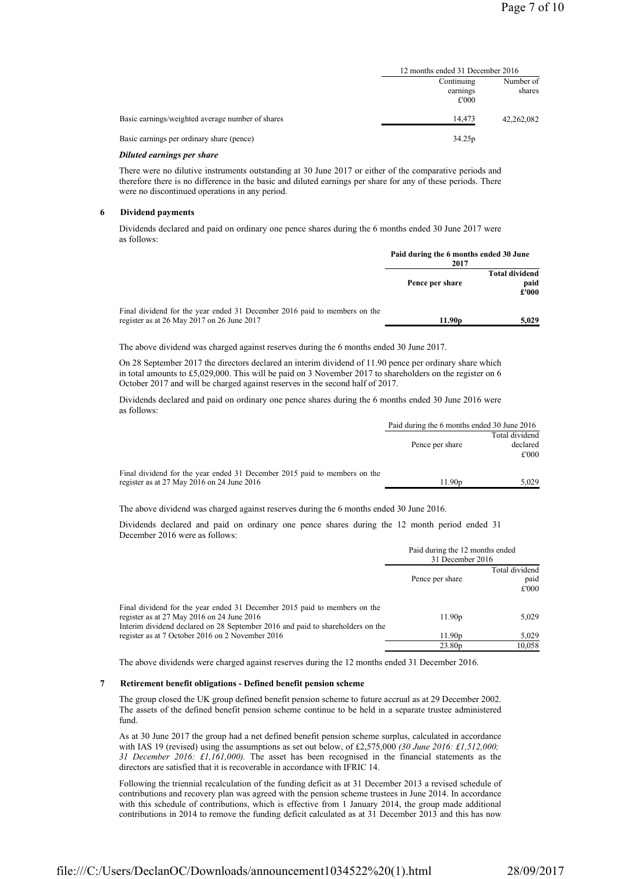|                                                  | 12 months ended 31 December 2016 |            |
|--------------------------------------------------|----------------------------------|------------|
|                                                  | Continuing                       | Number of  |
|                                                  | earnings<br>£'000                | shares     |
| Basic earnings/weighted average number of shares | 14,473                           | 42,262,082 |
| Basic earnings per ordinary share (pence)        | 34.25p                           |            |

## Diluted earnings per share

There were no dilutive instruments outstanding at 30 June 2017 or either of the comparative periods and therefore there is no difference in the basic and diluted earnings per share for any of these periods. There were no discontinued operations in any period.

#### 6 Dividend payments

Dividends declared and paid on ordinary one pence shares during the 6 months ended 30 June 2017 were as follows:

|                                                                                                                         | Paid during the 6 months ended 30 June<br>2017 |                                        |
|-------------------------------------------------------------------------------------------------------------------------|------------------------------------------------|----------------------------------------|
|                                                                                                                         | Pence per share                                | <b>Total dividend</b><br>paid<br>£'000 |
| Final dividend for the year ended 31 December 2016 paid to members on the<br>register as at 26 May 2017 on 26 June 2017 | 11.90 <sub>p</sub>                             | 5.029                                  |

The above dividend was charged against reserves during the 6 months ended 30 June 2017.

On 28 September 2017 the directors declared an interim dividend of 11.90 pence per ordinary share which in total amounts to £5,029,000. This will be paid on 3 November 2017 to shareholders on the register on 6 October 2017 and will be charged against reserves in the second half of 2017.

Dividends declared and paid on ordinary one pence shares during the 6 months ended 30 June 2016 were as follows:

|                                                                           | Paid during the 6 months ended 30 June 2016 |                   |
|---------------------------------------------------------------------------|---------------------------------------------|-------------------|
|                                                                           | Total dividend                              |                   |
|                                                                           | Pence per share                             | declared<br>£'000 |
|                                                                           |                                             |                   |
| Final dividend for the year ended 31 December 2015 paid to members on the |                                             |                   |
| register as at $27$ May $2016$ on $24$ June $2016$                        | 11.90p                                      | 5.029             |

The above dividend was charged against reserves during the 6 months ended 30 June 2016.

Dividends declared and paid on ordinary one pence shares during the 12 month period ended 31 December 2016 were as follows:

|                                                                                                                                                                                                           |                    | Paid during the 12 months ended<br>31 December 2016 |  |
|-----------------------------------------------------------------------------------------------------------------------------------------------------------------------------------------------------------|--------------------|-----------------------------------------------------|--|
|                                                                                                                                                                                                           | Pence per share    | Total dividend<br>paid<br>£'000                     |  |
| Final dividend for the year ended 31 December 2015 paid to members on the<br>register as at 27 May 2016 on 24 June 2016<br>Interim dividend declared on 28 September 2016 and paid to shareholders on the | 11.90 <sub>p</sub> | 5,029                                               |  |
| register as at 7 October 2016 on 2 November 2016                                                                                                                                                          | 11.90 <sub>p</sub> | 5,029                                               |  |
|                                                                                                                                                                                                           | 23.80 <sub>p</sub> | 10,058                                              |  |

The above dividends were charged against reserves during the 12 months ended 31 December 2016.

## 7 Retirement benefit obligations - Defined benefit pension scheme

The group closed the UK group defined benefit pension scheme to future accrual as at 29 December 2002. The assets of the defined benefit pension scheme continue to be held in a separate trustee administered fund.

As at 30 June 2017 the group had a net defined benefit pension scheme surplus, calculated in accordance with IAS 19 (revised) using the assumptions as set out below, of £2,575,000 (30 June 2016: £1,512,000; 31 December 2016: £1,161,000). The asset has been recognised in the financial statements as the directors are satisfied that it is recoverable in accordance with IFRIC 14.

Following the triennial recalculation of the funding deficit as at 31 December 2013 a revised schedule of contributions and recovery plan was agreed with the pension scheme trustees in June 2014. In accordance with this schedule of contributions, which is effective from 1 January 2014, the group made additional contributions in 2014 to remove the funding deficit calculated as at 31 December 2013 and this has now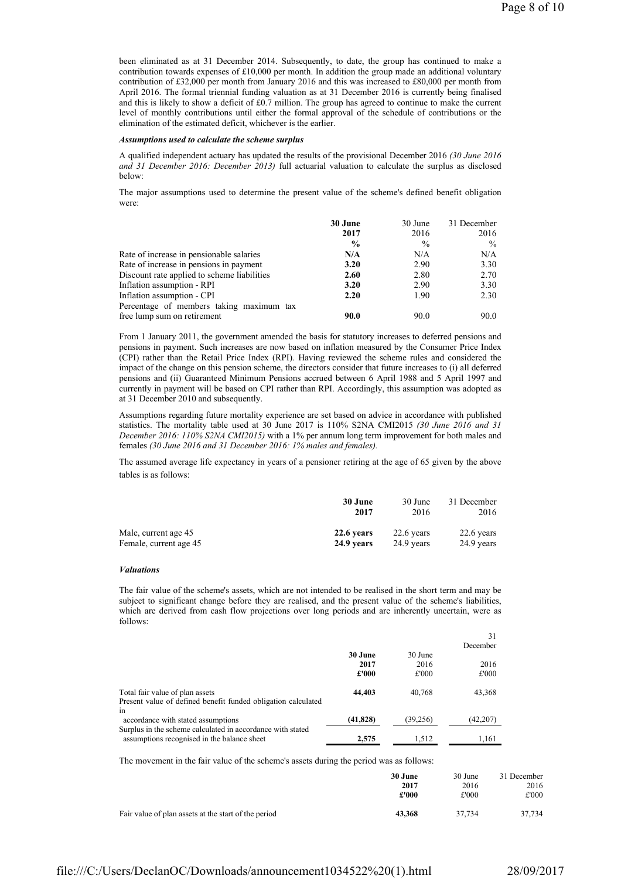been eliminated as at 31 December 2014. Subsequently, to date, the group has continued to make a contribution towards expenses of £10,000 per month. In addition the group made an additional voluntary contribution of £32,000 per month from January 2016 and this was increased to £80,000 per month from April 2016. The formal triennial funding valuation as at 31 December 2016 is currently being finalised and this is likely to show a deficit of £0.7 million. The group has agreed to continue to make the current level of monthly contributions until either the formal approval of the schedule of contributions or the elimination of the estimated deficit, whichever is the earlier.

#### Assumptions used to calculate the scheme surplus

A qualified independent actuary has updated the results of the provisional December 2016 (30 June 2016 and 31 December 2016: December 2013) full actuarial valuation to calculate the surplus as disclosed below:

The major assumptions used to determine the present value of the scheme's defined benefit obligation were:

|                                             | 30 June       | 30 June | 31 December   |
|---------------------------------------------|---------------|---------|---------------|
|                                             | 2017          | 2016    | 2016          |
|                                             | $\frac{6}{9}$ | $\%$    | $\frac{0}{0}$ |
| Rate of increase in pensionable salaries    | N/A           | N/A     | N/A           |
| Rate of increase in pensions in payment     | 3.20          | 2.90    | 3.30          |
| Discount rate applied to scheme liabilities | 2.60          | 2.80    | 2.70          |
| Inflation assumption - RPI                  | 3.20          | 2.90    | 3.30          |
| Inflation assumption - CPI                  | 2.20          | 1.90    | 2.30          |
| Percentage of members taking maximum tax    |               |         |               |
| free lump sum on retirement                 | 90.0          | 90.0    | 90.0          |

From 1 January 2011, the government amended the basis for statutory increases to deferred pensions and pensions in payment. Such increases are now based on inflation measured by the Consumer Price Index (CPI) rather than the Retail Price Index (RPI). Having reviewed the scheme rules and considered the impact of the change on this pension scheme, the directors consider that future increases to (i) all deferred pensions and (ii) Guaranteed Minimum Pensions accrued between 6 April 1988 and 5 April 1997 and currently in payment will be based on CPI rather than RPI. Accordingly, this assumption was adopted as at 31 December 2010 and subsequently.

Assumptions regarding future mortality experience are set based on advice in accordance with published statistics. The mortality table used at 30 June 2017 is 110% S2NA CMI2015 (30 June 2016 and 31 December 2016: 110% S2NA CMI2015) with a 1% per annum long term improvement for both males and females (30 June 2016 and 31 December 2016: 1% males and females).

The assumed average life expectancy in years of a pensioner retiring at the age of 65 given by the above tables is as follows:

|                        | 30 June    | 30 June    | 31 December |
|------------------------|------------|------------|-------------|
|                        | 2017       | 2016       | 2016        |
| Male, current age 45   | 22.6 years | 22.6 years | 22.6 years  |
| Female, current age 45 | 24.9 years | 24.9 years | 24.9 years  |

## Valuations

The fair value of the scheme's assets, which are not intended to be realised in the short term and may be subject to significant change before they are realised, and the present value of the scheme's liabilities, which are derived from cash flow projections over long periods and are inherently uncertain, were as follows:

|           |           | 31       |
|-----------|-----------|----------|
|           |           | December |
| 30 June   | 30 June   |          |
| 2017      | 2016      | 2016     |
| £'000     | £'000     | £'000    |
| 44,403    | 40.768    | 43,368   |
|           |           |          |
|           |           |          |
| (41, 828) | (39, 256) | (42,207) |
|           |           |          |
| 2.575     | 1.512     | 1,161    |
|           |           |          |

The movement in the fair value of the scheme's assets during the period was as follows:

|                                                      | 30 June | 30 June | 31 December |
|------------------------------------------------------|---------|---------|-------------|
|                                                      | 2017    | 2016    | 2016        |
|                                                      | £'000   | £'000   | £'000       |
| Fair value of plan assets at the start of the period | 43,368  | 37.734  | 37,734      |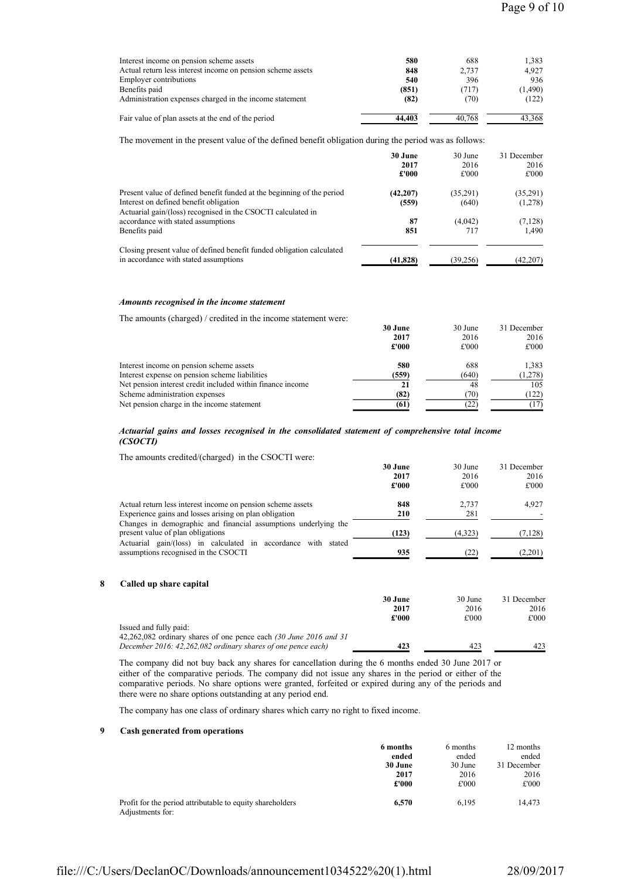| Interest income on pension scheme assets                    | 580    | 688    | 1.383   |
|-------------------------------------------------------------|--------|--------|---------|
| Actual return less interest income on pension scheme assets | 848    | 2.737  | 4.927   |
| <b>Employer contributions</b>                               | 540    | 396    | 936     |
| Benefits paid                                               | (851)  | (717)  | (1,490) |
| Administration expenses charged in the income statement     | (82)   | (70)   | (122)   |
| Fair value of plan assets at the end of the period          | 44,403 | 40.768 | 43.368  |

The movement in the present value of the defined benefit obligation during the period was as follows:

|                                                                                                                                                                                  | 30 June            | 30 June           | 31 December         |
|----------------------------------------------------------------------------------------------------------------------------------------------------------------------------------|--------------------|-------------------|---------------------|
|                                                                                                                                                                                  | 2017               | 2016              | 2016                |
|                                                                                                                                                                                  | £'000              | £'000             | £'000               |
| Present value of defined benefit funded at the beginning of the period<br>Interest on defined benefit obligation<br>Actuarial gain/(loss) recognised in the CSOCTI calculated in | (42, 207)<br>(559) | (35,291)<br>(640) | (35,291)<br>(1,278) |
| accordance with stated assumptions                                                                                                                                               | 87                 | (4,042)           | (7, 128)            |
| Benefits paid                                                                                                                                                                    | 851                | 717               | 1.490               |
| Closing present value of defined benefit funded obligation calculated<br>in accordance with stated assumptions                                                                   | (41, 828)          | (39,256)          | (42,207)            |

# Amounts recognised in the income statement

The amounts (charged) / credited in the income statement were:

| 30 June | 30 June | 31 December |
|---------|---------|-------------|
| 2017    | 2016    | 2016        |
| £'000   | £'000   | £'000       |
| 580     | 688     | 1,383       |
| (559)   | (640)   | (1,278)     |
| 21      | 48      | 105         |
| (82)    | (70)    | (122)       |
| (61)    | (22)    |             |
|         |         |             |

## Actuarial gains and losses recognised in the consolidated statement of comprehensive total income (CSOCTI)

The amounts credited/(charged) in the CSOCTI were:

| The uniquing electron (endinger) in the CDOC is well.                                                    |         |         |             |
|----------------------------------------------------------------------------------------------------------|---------|---------|-------------|
|                                                                                                          | 30 June | 30 June | 31 December |
|                                                                                                          | 2017    | 2016    | 2016        |
|                                                                                                          | £'000   | £'000   | £'000       |
| Actual return less interest income on pension scheme assets                                              | 848     | 2.737   | 4,927       |
| Experience gains and losses arising on plan obligation                                                   | 210     | 281     |             |
| Changes in demographic and financial assumptions underlying the<br>present value of plan obligations     | (123)   | (4,323) | (7, 128)    |
| Actuarial gain/(loss) in calculated in accordance with<br>stated<br>assumptions recognised in the CSOCTI | 935     | (22)    | (2,201)     |
|                                                                                                          |         |         |             |

# 8 Called up share capital

|                                                                   | 30 June | 30 June | 31 December |
|-------------------------------------------------------------------|---------|---------|-------------|
|                                                                   | 2017    | 2016    | 2016        |
|                                                                   | £'000   | £'000   | £'000       |
| Issued and fully paid:                                            |         |         |             |
| 42,262,082 ordinary shares of one pence each (30 June 2016 and 31 |         |         |             |
| December 2016: 42,262,082 ordinary shares of one pence each)      | 423     | 423     | 423         |

The company did not buy back any shares for cancellation during the 6 months ended 30 June 2017 or either of the comparative periods. The company did not issue any shares in the period or either of the comparative periods. No share options were granted, forfeited or expired during any of the periods and there were no share options outstanding at any period end.

The company has one class of ordinary shares which carry no right to fixed income.

# 9 Cash generated from operations

|                                                                               | 6 months | 6 months | 12 months   |
|-------------------------------------------------------------------------------|----------|----------|-------------|
|                                                                               | ended    | ended    | ended       |
|                                                                               | 30 June  | 30 June  | 31 December |
|                                                                               | 2017     | 2016     | 2016        |
|                                                                               | £'000    | £'000    | £'000       |
| Profit for the period attributable to equity shareholders<br>Adjustments for: | 6.570    | 6.195    | 14,473      |